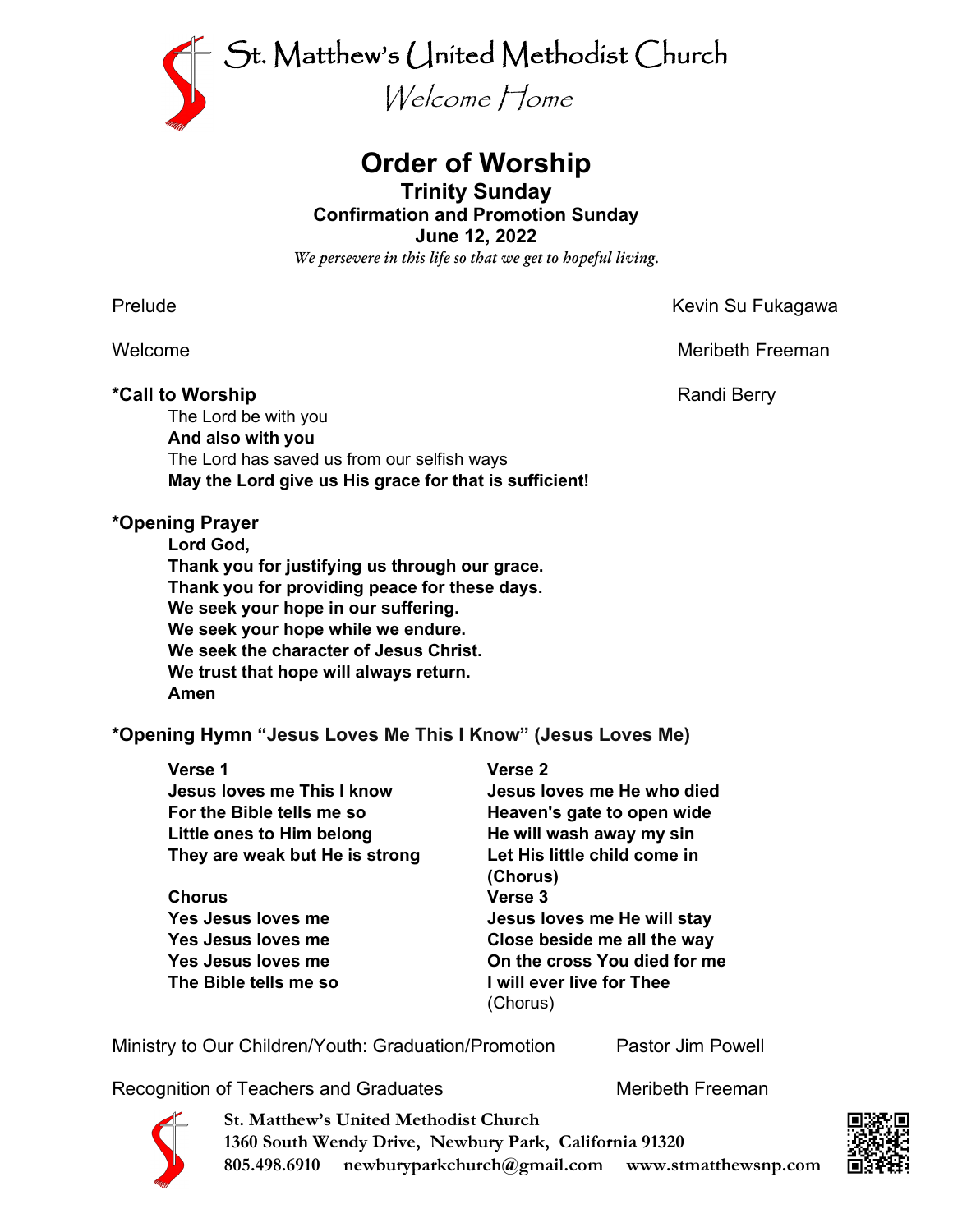

# **Order of Worship**

### **Trinity Sunday Confirmation and Promotion Sunday**

**June 12, 2022**

*We persevere in this life so that we get to hopeful living.*

### \*Call to Worship **Account 2018 Randi Berry**

Prelude **Kevin Su Fukagawa** 

Welcome **Meribeth Freeman** 

The Lord be with you **And also with you** The Lord has saved us from our selfish ways **May the Lord give us His grace for that is sufficient!**

## **\*Opening Prayer**

**Lord God,**

**Thank you for justifying us through our grace. Thank you for providing peace for these days. We seek your hope in our suffering. We seek your hope while we endure. We seek the character of Jesus Christ. We trust that hope will always return. Amen**

**\*Opening Hymn "Jesus Loves Me This I Know" (Jesus Loves Me)**

| <b>Verse 1</b>                 | Verse 2                      |
|--------------------------------|------------------------------|
| Jesus loves me This I know     | Jesus loves me He who died   |
| For the Bible tells me so      | Heaven's gate to open wide   |
| Little ones to Him belong      | He will wash away my sin     |
| They are weak but He is strong | Let His little child come in |
|                                | (Chorus)                     |
| <b>Chorus</b>                  | Verse 3                      |
| Yes Jesus loves me             | Jesus loves me He will stay  |
| Yes Jesus loves me             | Close beside me all the way  |
| Yes Jesus loves me             | On the cross You died for me |
| The Bible tells me so          | I will ever live for Thee    |
|                                | (Chorus)                     |

Ministry to Our Children/Youth: Graduation/Promotion Pastor Jim Powell

Recognition of Teachers and Graduates Meribeth Freeman



**St. Matthew's United Methodist Church 1360 South Wendy Drive, Newbury Park, California 91320 805.498.6910 newburyparkchurch@gmail.com www.stmatthewsnp.com**

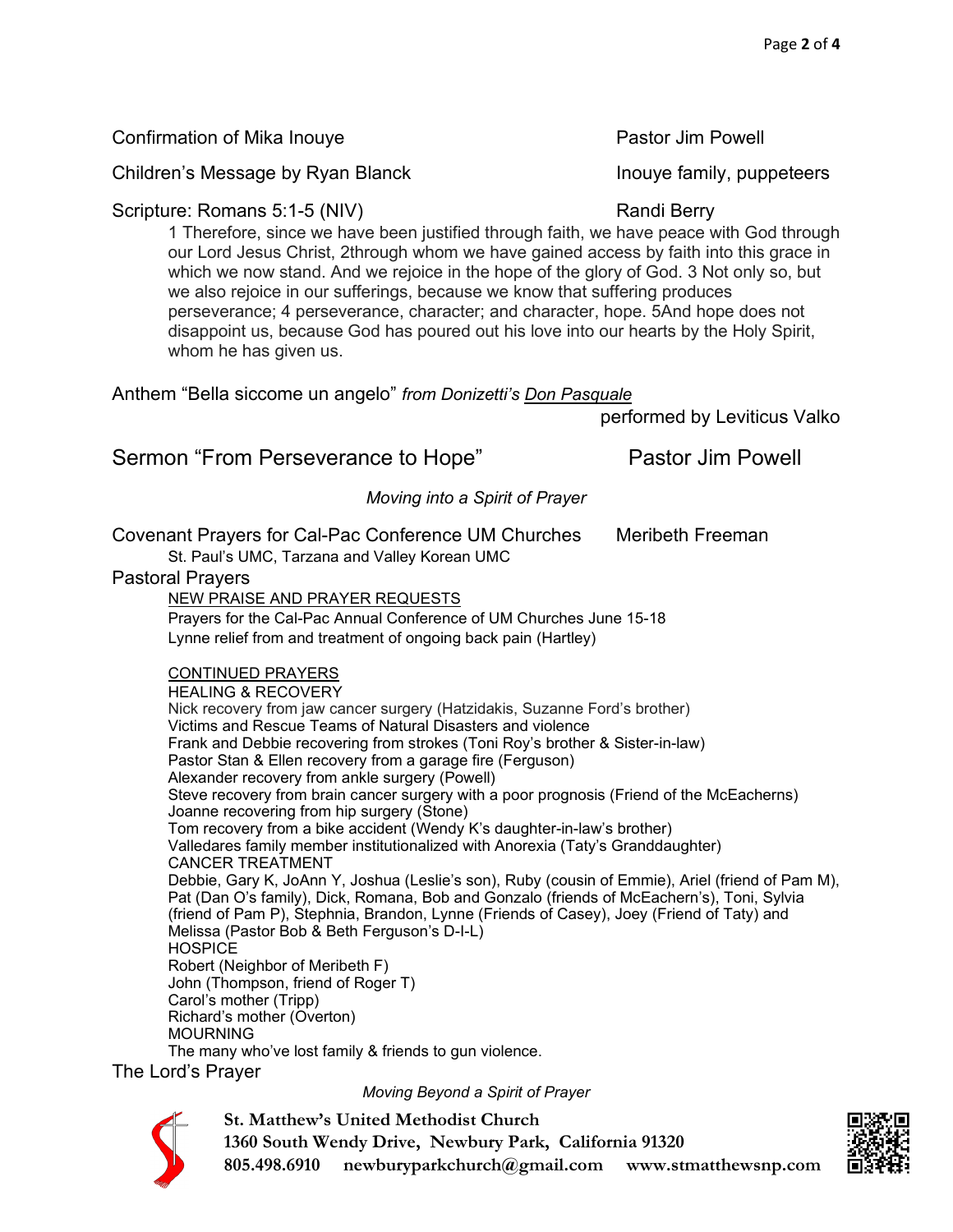our Lord Jesus Christ, 2through whom we have gained access by faith into this grace in which we now stand. And we rejoice in the hope of the glory of God. 3 Not only so, but we also rejoice in our sufferings, because we know that suffering produces perseverance; 4 perseverance, character; and character, hope. 5And hope does not disappoint us, because God has poured out his love into our hearts by the Holy Spirit, whom he has given us. Anthem "Bella siccome un angelo" *from Donizetti's Don Pasquale* performed by Leviticus Valko Sermon "From Perseverance to Hope" Pastor Jim Powell *Moving into a Spirit of Prayer* Covenant Prayers for Cal-Pac Conference UM Churches Meribeth Freeman St. Paul's UMC, Tarzana and Valley Korean UMC Pastoral Prayers NEW PRAISE AND PRAYER REQUESTS Prayers for the Cal-Pac Annual Conference of UM Churches June 15-18 Lynne relief from and treatment of ongoing back pain (Hartley) CONTINUED PRAYERS HEALING & RECOVERY Nick recovery from jaw cancer surgery (Hatzidakis, Suzanne Ford's brother) Victims and Rescue Teams of Natural Disasters and violence Frank and Debbie recovering from strokes (Toni Roy's brother & Sister-in-law) Pastor Stan & Ellen recovery from a garage fire (Ferguson) Alexander recovery from ankle surgery (Powell) Steve recovery from brain cancer surgery with a poor prognosis (Friend of the McEacherns) Joanne recovering from hip surgery (Stone) Tom recovery from a bike accident (Wendy K's daughter-in-law's brother) Valledares family member institutionalized with Anorexia (Taty's Granddaughter) CANCER TREATMENT Debbie, Gary K, JoAnn Y, Joshua (Leslie's son), Ruby (cousin of Emmie), Ariel (friend of Pam M), Pat (Dan O's family), Dick, Romana, Bob and Gonzalo (friends of McEachern's), Toni, Sylvia (friend of Pam P), Stephnia, Brandon, Lynne (Friends of Casey), Joey (Friend of Taty) and Melissa (Pastor Bob & Beth Ferguson's D-I-L) **HOSPICE** Robert (Neighbor of Meribeth F) John (Thompson, friend of Roger T) Carol's mother (Tripp) Richard's mother (Overton) MOURNING The many who've lost family & friends to gun violence. The Lord's Prayer *Moving Beyond a Spirit of Prayer*



**St. Matthew's United Methodist Church 1360 South Wendy Drive, Newbury Park, California 91320 805.498.6910 newburyparkchurch@gmail.com www.stmatthewsnp.com**



Confirmation of Mika Inouye **Pastor Jim Powell** 

Children's Message by Ryan Blanck Incometers Inouye family, puppeteers

#### Scripture: Romans 5:1-5 (NIV) Randi Berry 1 Therefore, since we have been justified through faith, we have peace with God through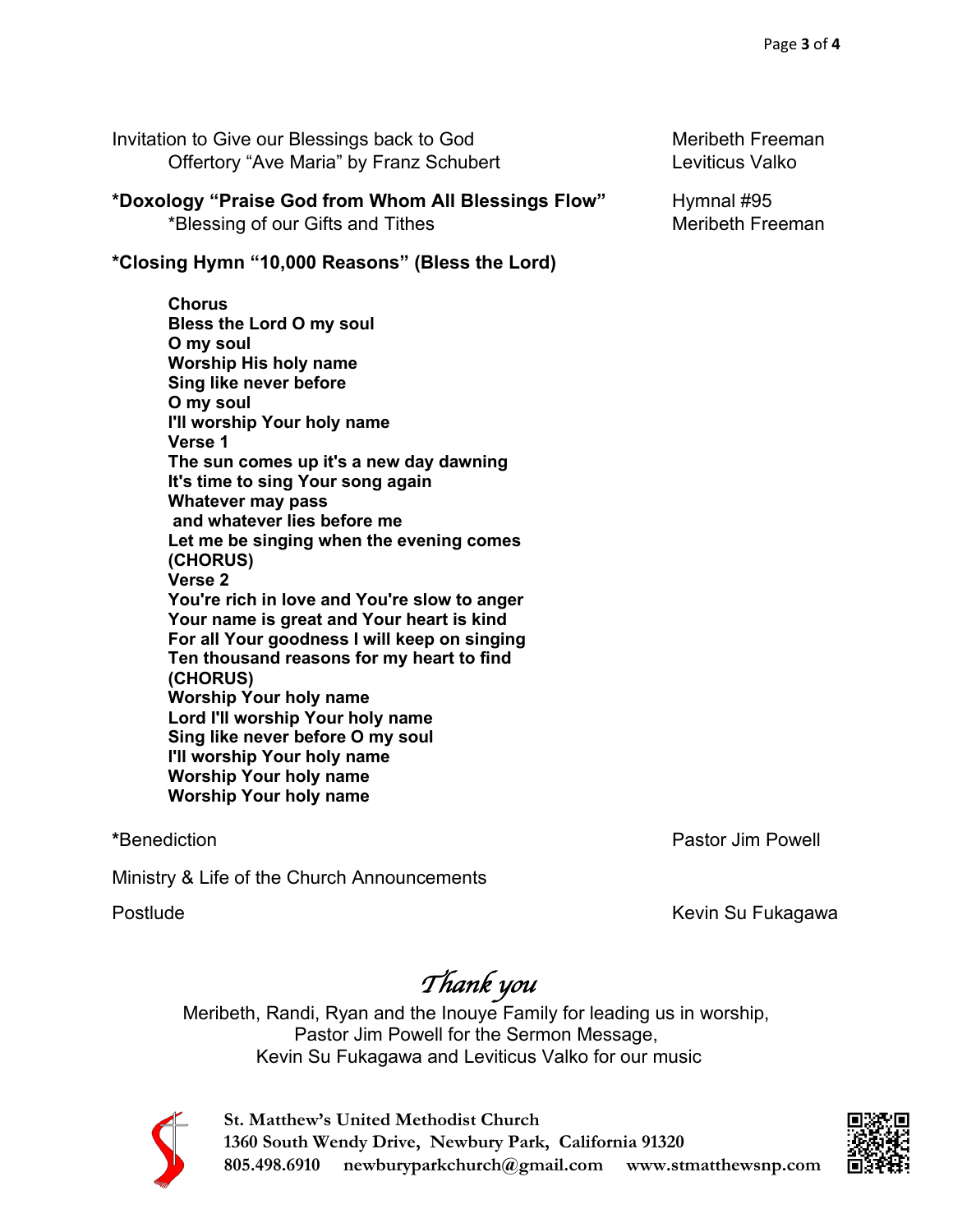Invitation to Give our Blessings back to God Meribeth Freeman Offertory "Ave Maria" by Franz Schubert Lexiticus Valko

**\*Doxology "Praise God from Whom All Blessings Flow"** Hymnal #95 \*Blessing of our Gifts and Tithes Merity of Meribeth Freeman

**\*Closing Hymn "10,000 Reasons" (Bless the Lord)**

**Chorus Bless the Lord O my soul O my soul Worship His holy name Sing like never before O my soul I'll worship Your holy name Verse 1 The sun comes up it's a new day dawning It's time to sing Your song again Whatever may pass and whatever lies before me Let me be singing when the evening comes (CHORUS) Verse 2 You're rich in love and You're slow to anger Your name is great and Your heart is kind For all Your goodness I will keep on singing Ten thousand reasons for my heart to find (CHORUS) Worship Your holy name Lord I'll worship Your holy name Sing like never before O my soul I'll worship Your holy name Worship Your holy name Worship Your holy name**

**\***Benediction Pastor Jim Powell

Ministry & Life of the Church Announcements

Postlude **Kevin Su Fukagawa** 

*Thank you* 

Meribeth, Randi, Ryan and the Inouye Family for leading us in worship, Pastor Jim Powell for the Sermon Message, Kevin Su Fukagawa and Leviticus Valko for our music



**St. Matthew's United Methodist Church 1360 South Wendy Drive, Newbury Park, California 91320 805.498.6910 newburyparkchurch@gmail.com www.stmatthewsnp.com**